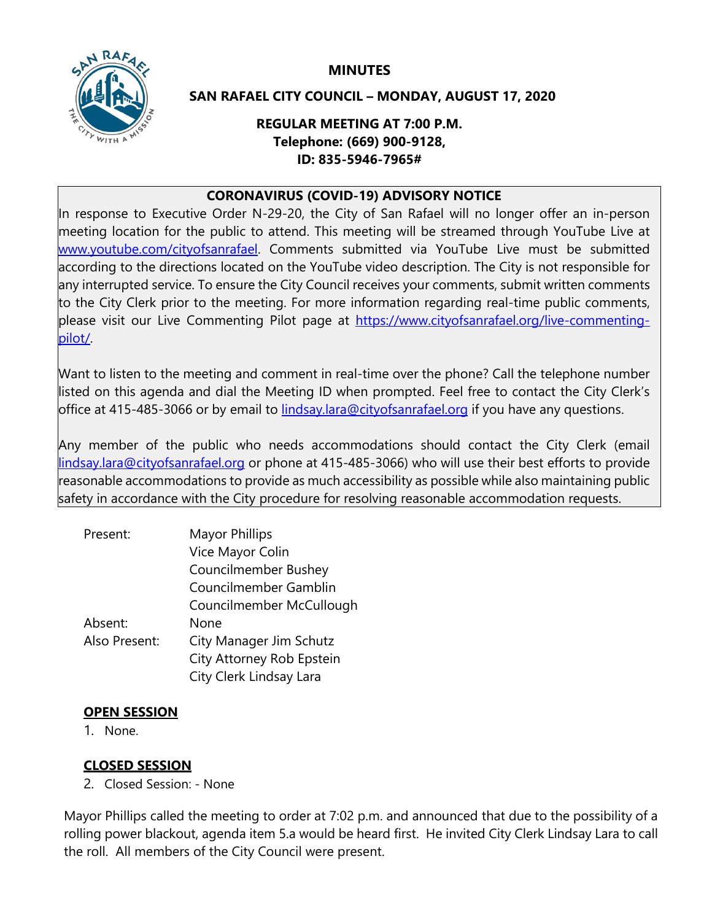**MINUTES**



### **SAN RAFAEL CITY COUNCIL – MONDAY, AUGUST 17, 2020**

## **REGULAR MEETING AT 7:00 P.M. Telephone: (669) 900-9128, ID: 835-5946-7965#**

### **CORONAVIRUS (COVID-19) ADVISORY NOTICE**

In response to Executive Order N-29-20, the City of San Rafael will no longer offer an in-person meeting location for the public to attend. This meeting will be streamed through YouTube Live at [www.youtube.com/cityofsanrafael.](http://www.youtube.com/cityofsanrafael) Comments submitted via YouTube Live must be submitted according to the directions located on the YouTube video description. The City is not responsible for any interrupted service. To ensure the City Council receives your comments, submit written comments to the City Clerk prior to the meeting. For more information regarding real-time public comments, please visit our Live Commenting Pilot page at [https://www.cityofsanrafael.org/live-commenting](https://www.cityofsanrafael.org/live-commenting-pilot/)[pilot/.](https://www.cityofsanrafael.org/live-commenting-pilot/)

Want to listen to the meeting and comment in real-time over the phone? Call the telephone number listed on this agenda and dial the Meeting ID when prompted. Feel free to contact the City Clerk's office at 415-485-3066 or by email to [lindsay.lara@cityofsanrafael.org](file://fs1.city.local/TDrive/CITY%20COUNCIL%20AGENDA%20ITEMS/Future%20Agenda%20Items/lindsay.lara@cityofsanrafael.org) if you have any questions.

Any member of the public who needs accommodations should contact the City Clerk (email [lindsay.lara@cityofsanrafael.org](file://fs1.city.local/TDrive/CITY%20COUNCIL%20AGENDA%20ITEMS/Future%20Agenda%20Items/lindsay.lara@cityofsanrafael.org) or phone at 415-485-3066) who will use their best efforts to provide reasonable accommodations to provide as much accessibility as possible while also maintaining public safety in accordance with the City procedure for resolving reasonable accommodation requests.

| <b>Mayor Phillips</b>       |
|-----------------------------|
| Vice Mayor Colin            |
| <b>Councilmember Bushey</b> |
| Councilmember Gamblin       |
| Councilmember McCullough    |
| None                        |
| City Manager Jim Schutz     |
| City Attorney Rob Epstein   |
| City Clerk Lindsay Lara     |
|                             |

# **OPEN SESSION**

1. None.

# **CLOSED SESSION**

2. Closed Session: - None

Mayor Phillips called the meeting to order at 7:02 p.m. and announced that due to the possibility of a rolling power blackout, agenda item 5.a would be heard first. He invited City Clerk Lindsay Lara to call the roll. All members of the City Council were present.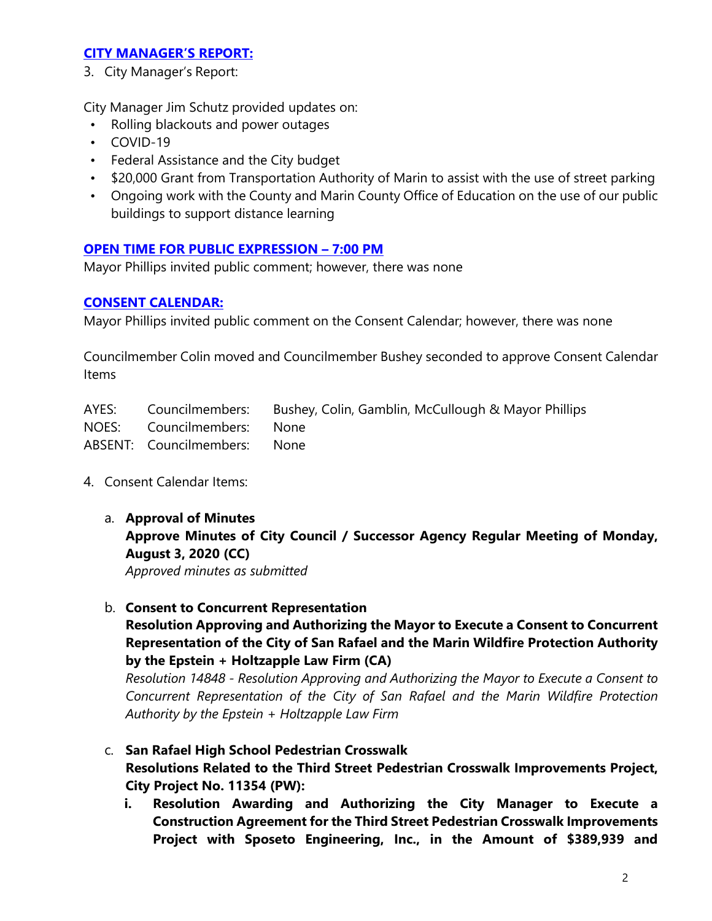### **[CITY MANAGER'S REPORT:](https://youtu.be/SvLa8jDsx_M?t=4656)**

3. City Manager's Report:

City Manager Jim Schutz provided updates on:

- Rolling blackouts and power outages
- COVID-19
- Federal Assistance and the City budget
- \$20,000 Grant from Transportation Authority of Marin to assist with the use of street parking
- Ongoing work with the County and Marin County Office of Education on the use of our public buildings to support distance learning

# **[OPEN TIME FOR PUBLIC EXPRESSION –](https://youtu.be/SvLa8jDsx_M?t=5127) 7:00 PM**

Mayor Phillips invited public comment; however, there was none

### **[CONSENT CALENDAR:](https://youtu.be/SvLa8jDsx_M?t=5185)**

Mayor Phillips invited public comment on the Consent Calendar; however, there was none

Councilmember Colin moved and Councilmember Bushey seconded to approve Consent Calendar Items

|                              | AYES: Councilmembers: Bushey, Colin, Gamblin, McCullough & Mayor Phillips |
|------------------------------|---------------------------------------------------------------------------|
| NOES: Councilmembers: None   |                                                                           |
| ABSENT: Councilmembers: None |                                                                           |

- 4. Consent Calendar Items:
	- a. **Approval of Minutes Approve Minutes of City Council / Successor Agency Regular Meeting of Monday, August 3, 2020 (CC)** *Approved minutes as submitted*

b. **Consent to Concurrent Representation** 

# **Resolution Approving and Authorizing the Mayor to Execute a Consent to Concurrent Representation of the City of San Rafael and the Marin Wildfire Protection Authority by the Epstein + Holtzapple Law Firm (CA)**

*Resolution 14848 - Resolution Approving and Authorizing the Mayor to Execute a Consent to Concurrent Representation of the City of San Rafael and the Marin Wildfire Protection Authority by the Epstein + Holtzapple Law Firm*

- c. **San Rafael High School Pedestrian Crosswalk Resolutions Related to the Third Street Pedestrian Crosswalk Improvements Project, City Project No. 11354 (PW):**
	- **i. Resolution Awarding and Authorizing the City Manager to Execute a Construction Agreement for the Third Street Pedestrian Crosswalk Improvements Project with Sposeto Engineering, Inc., in the Amount of \$389,939 and**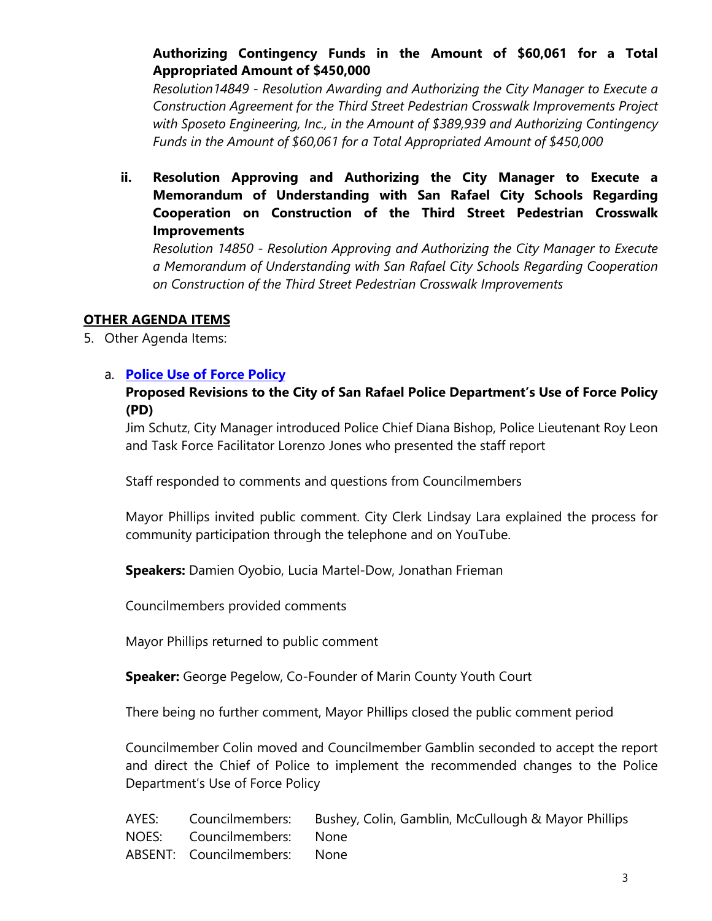# **Authorizing Contingency Funds in the Amount of \$60,061 for a Total Appropriated Amount of \$450,000**

*Resolution14849 - Resolution Awarding and Authorizing the City Manager to Execute a Construction Agreement for the Third Street Pedestrian Crosswalk Improvements Project with Sposeto Engineering, Inc., in the Amount of \$389,939 and Authorizing Contingency Funds in the Amount of \$60,061 for a Total Appropriated Amount of \$450,000*

**ii. Resolution Approving and Authorizing the City Manager to Execute a Memorandum of Understanding with San Rafael City Schools Regarding Cooperation on Construction of the Third Street Pedestrian Crosswalk Improvements**

*Resolution 14850 - Resolution Approving and Authorizing the City Manager to Execute a Memorandum of Understanding with San Rafael City Schools Regarding Cooperation on Construction of the Third Street Pedestrian Crosswalk Improvements*

### **OTHER AGENDA ITEMS**

5. Other Agenda Items:

# a. **[Police Use of Force Policy](https://youtu.be/SvLa8jDsx_M?t=992)**

## **Proposed Revisions to the City of San Rafael Police Department's Use of Force Policy (PD)**

Jim Schutz, City Manager introduced Police Chief Diana Bishop, Police Lieutenant Roy Leon and Task Force Facilitator Lorenzo Jones who presented the staff report

Staff responded to comments and questions from Councilmembers

Mayor Phillips invited public comment. City Clerk Lindsay Lara explained the process for community participation through the telephone and on YouTube.

**Speakers:** Damien Oyobio, Lucia Martel-Dow, Jonathan Frieman

Councilmembers provided comments

Mayor Phillips returned to public comment

**Speaker:** George Pegelow, Co-Founder of Marin County Youth Court

There being no further comment, Mayor Phillips closed the public comment period

Councilmember Colin moved and Councilmember Gamblin seconded to accept the report and direct the Chief of Police to implement the recommended changes to the Police Department's Use of Force Policy

|                              | AYES: Councilmembers: Bushey, Colin, Gamblin, McCullough & Mayor Phillips |
|------------------------------|---------------------------------------------------------------------------|
| NOES: Councilmembers: None   |                                                                           |
| ABSENT: Councilmembers: None |                                                                           |